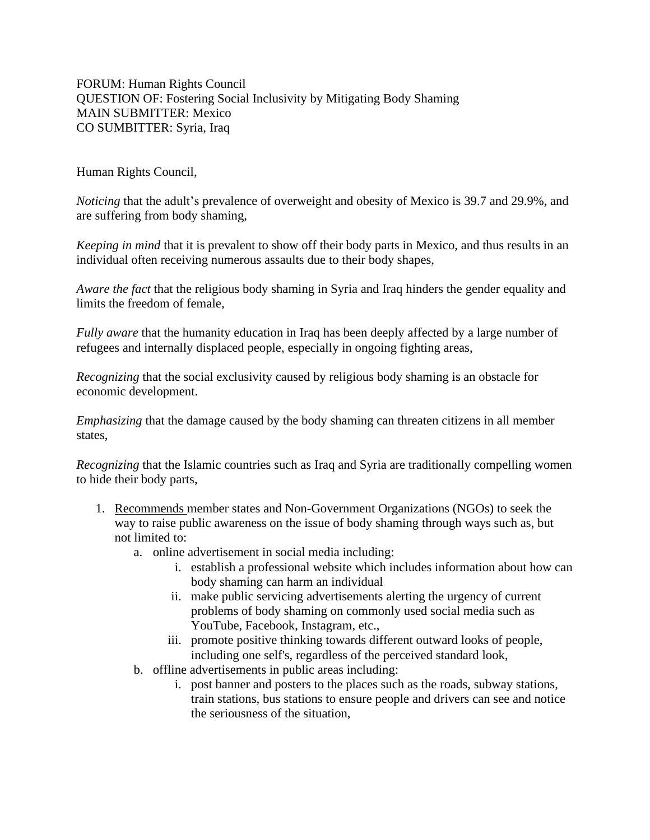FORUM: Human Rights Council QUESTION OF: Fostering Social Inclusivity by Mitigating Body Shaming MAIN SUBMITTER: Mexico CO SUMBITTER: Syria, Iraq

Human Rights Council,

*Noticing* that the adult's prevalence of overweight and obesity of Mexico is 39.7 and 29.9%, and are suffering from body shaming,

*Keeping in mind* that it is prevalent to show off their body parts in Mexico, and thus results in an individual often receiving numerous assaults due to their body shapes,

*Aware the fact* that the religious body shaming in Syria and Iraq hinders the gender equality and limits the freedom of female,

*Fully aware* that the humanity education in Iraq has been deeply affected by a large number of refugees and internally displaced people, especially in ongoing fighting areas,

*Recognizing* that the social exclusivity caused by religious body shaming is an obstacle for economic development.

*Emphasizing* that the damage caused by the body shaming can threaten citizens in all member states,

*Recognizing* that the Islamic countries such as Iraq and Syria are traditionally compelling women to hide their body parts,

- 1. Recommends member states and Non-Government Organizations (NGOs) to seek the way to raise public awareness on the issue of body shaming through ways such as, but not limited to:
	- a. online advertisement in social media including:
		- i. establish a professional website which includes information about how can body shaming can harm an individual
		- ii. make public servicing advertisements alerting the urgency of current problems of body shaming on commonly used social media such as YouTube, Facebook, Instagram, etc.,
		- iii. promote positive thinking towards different outward looks of people, including one self's, regardless of the perceived standard look,
	- b. offline advertisements in public areas including:
		- i. post banner and posters to the places such as the roads, subway stations, train stations, bus stations to ensure people and drivers can see and notice the seriousness of the situation,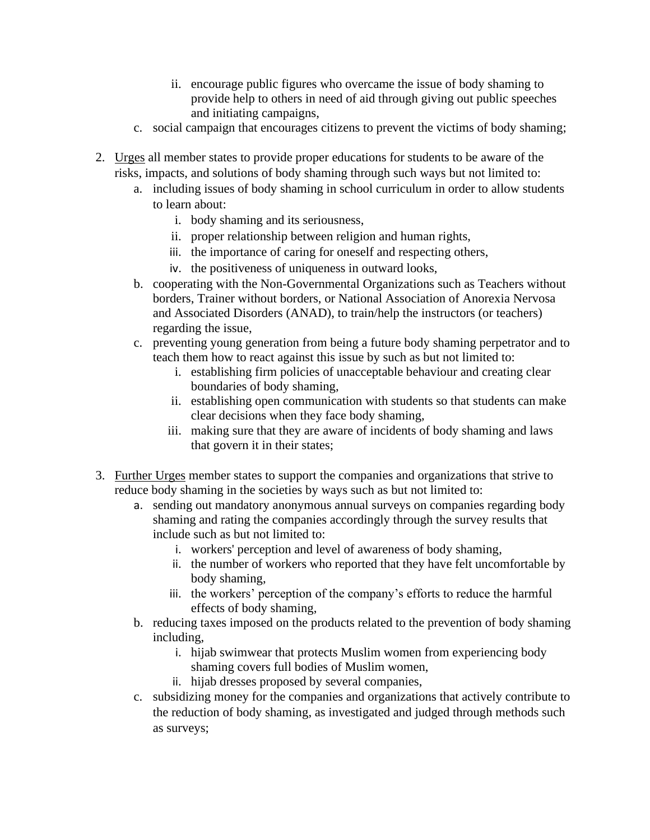- ii. encourage public figures who overcame the issue of body shaming to provide help to others in need of aid through giving out public speeches and initiating campaigns,
- c. social campaign that encourages citizens to prevent the victims of body shaming;
- 2. Urges all member states to provide proper educations for students to be aware of the risks, impacts, and solutions of body shaming through such ways but not limited to:
	- a. including issues of body shaming in school curriculum in order to allow students to learn about:
		- i. body shaming and its seriousness,
		- ii. proper relationship between religion and human rights,
		- iii. the importance of caring for oneself and respecting others,
		- iv. the positiveness of uniqueness in outward looks,
	- b. cooperating with the Non-Governmental Organizations such as Teachers without borders, Trainer without borders, or National Association of Anorexia Nervosa and Associated Disorders (ANAD), to train/help the instructors (or teachers) regarding the issue,
	- c. preventing young generation from being a future body shaming perpetrator and to teach them how to react against this issue by such as but not limited to:
		- i. establishing firm policies of unacceptable behaviour and creating clear boundaries of body shaming,
		- ii. establishing open communication with students so that students can make clear decisions when they face body shaming,
		- iii. making sure that they are aware of incidents of body shaming and laws that govern it in their states;
- 3. Further Urges member states to support the companies and organizations that strive to reduce body shaming in the societies by ways such as but not limited to:
	- a. sending out mandatory anonymous annual surveys on companies regarding body shaming and rating the companies accordingly through the survey results that include such as but not limited to:
		- i. workers' perception and level of awareness of body shaming,
		- ii. the number of workers who reported that they have felt uncomfortable by body shaming,
		- iii. the workers' perception of the company's efforts to reduce the harmful effects of body shaming,
	- b. reducing taxes imposed on the products related to the prevention of body shaming including,
		- i. hijab swimwear that protects Muslim women from experiencing body shaming covers full bodies of Muslim women,
		- ii. hijab dresses proposed by several companies,
	- c. subsidizing money for the companies and organizations that actively contribute to the reduction of body shaming, as investigated and judged through methods such as surveys;